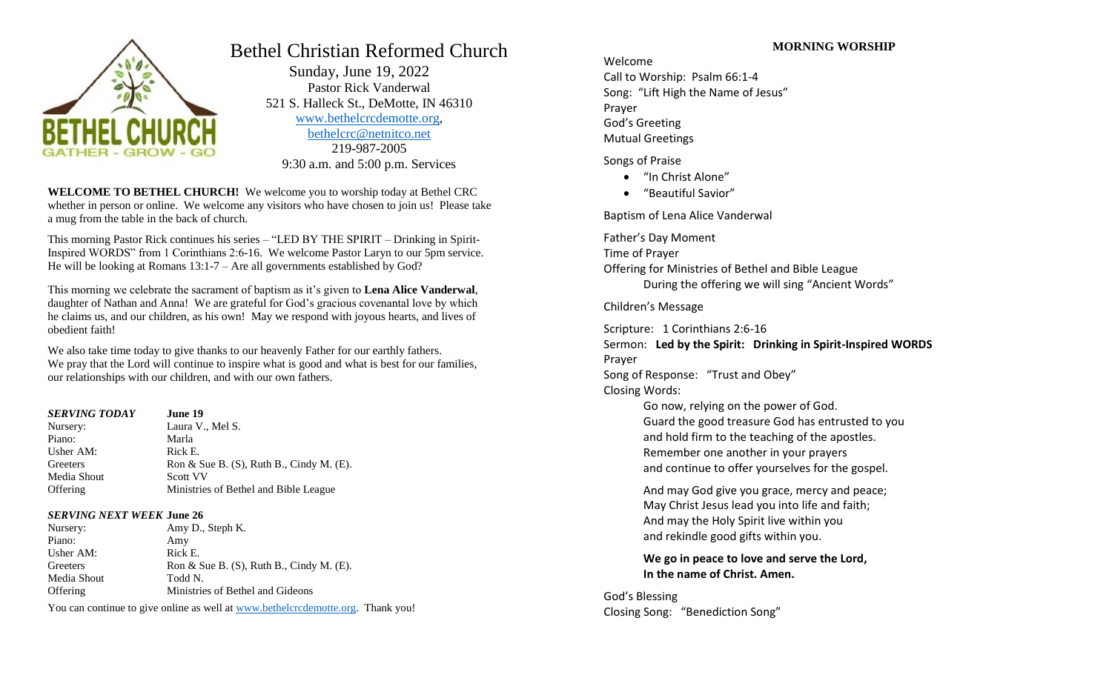

# Bethel Christian Reformed Church

 Sunday, June 19, 2022 Pastor Rick Vanderwal 521 S. Halleck St., DeMotte, IN 46310 [www.bethelcrcdemotte.org,](http://www.bethelcrcdemotte.org/) [bethelcrc@netnitco.net](mailto:bethelcrc@netnitco.net) 219-987-2005 9:30 a.m. and 5:00 p.m. Services

**WELCOME TO BETHEL CHURCH!** We welcome you to worship today at Bethel CRC whether in person or online. We welcome any visitors who have chosen to join us! Please take a mug from the table in the back of church.

This morning Pastor Rick continues his series – "LED BY THE SPIRIT – Drinking in Spirit-Inspired WORDS" from 1 Corinthians 2:6-16. We welcome Pastor Laryn to our 5pm service. He will be looking at Romans 13:1-7 – Are all governments established by God?

This morning we celebrate the sacrament of baptism as it's given to **Lena Alice Vanderwal**, daughter of Nathan and Anna! We are grateful for God's gracious covenantal love by which he claims us, and our children, as his own! May we respond with joyous hearts, and lives of obedient faith!

We also take time today to give thanks to our heavenly Father for our earthly fathers. We pray that the Lord will continue to inspire what is good and what is best for our families, our relationships with our children, and with our own fathers.

| <b>SERVING TODAY</b> | June 19                                        |
|----------------------|------------------------------------------------|
| Nursery:             | Laura V., Mel S.                               |
| Piano:               | Marla                                          |
| Usher AM:            | Rick E.                                        |
| Greeters             | Ron & Sue B. $(S)$ , Ruth B., Cindy M. $(E)$ . |
| Media Shout          | Scott VV                                       |
| Offering             | Ministries of Bethel and Bible League          |

## *SERVING NEXT WEEK* **June 26**

| Nursery:        | Amy D., Steph K.                               |
|-----------------|------------------------------------------------|
| Piano:          | Amy                                            |
| Usher AM:       | Rick E.                                        |
| Greeters        | Ron & Sue B. $(S)$ , Ruth B., Cindy M. $(E)$ . |
| Media Shout     | Todd N.                                        |
| <b>Offering</b> | Ministries of Bethel and Gideons               |

You can continue to give online as well at [www.bethelcrcdemotte.org.](http://www.bethelcrcdemotte.org/) Thank you!

# **MORNING WORSHIP**

Welcome Call to Worship: Psalm 66:1-4 Song: "Lift High the Name of Jesus" Prayer God's Greeting Mutual Greetings

## Songs of Praise

- "In Christ Alone"
- "Beautiful Savior"

Baptism of Lena Alice Vanderwal

Father's Day Moment Time of Prayer Offering for Ministries of Bethel and Bible League During the offering we will sing "Ancient Words"

Children's Message

Scripture: 1 Corinthians 2:6-16

Sermon: **Led by the Spirit: Drinking in Spirit-Inspired WORDS** Prayer

Song of Response: "Trust and Obey" Closing Words:

> Go now, relying on the power of God. Guard the good treasure God has entrusted to you and hold firm to the teaching of the apostles. Remember one another in your prayers and continue to offer yourselves for the gospel.

And may God give you grace, mercy and peace; May Christ Jesus lead you into life and faith; And may the Holy Spirit live within you and rekindle good gifts within you.

**We go in peace to love and serve the Lord, In the name of Christ. Amen.**

God's Blessing Closing Song: "Benediction Song"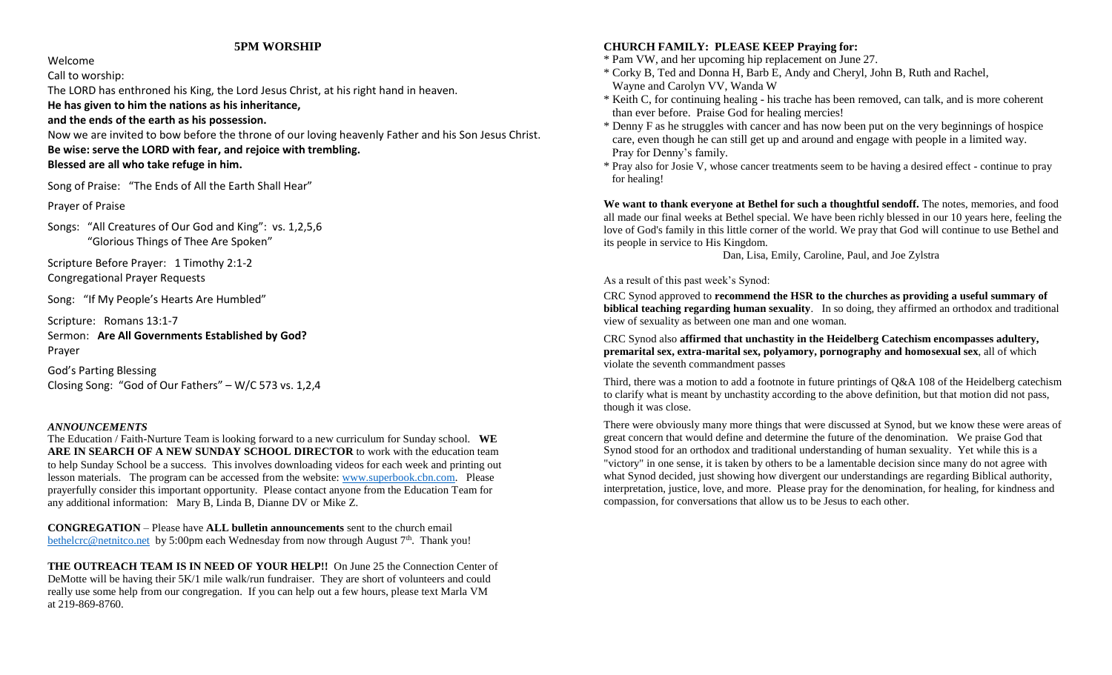#### **5PM WORSHIP**

Welcome

Call to worship:

The LORD has enthroned his King, the Lord Jesus Christ, at his right hand in heaven.

**He has given to him the nations as his inheritance,** 

**and the ends of the earth as his possession.**

Now we are invited to bow before the throne of our loving heavenly Father and his Son Jesus Christ. **Be wise: serve the LORD with fear, and rejoice with trembling. Blessed are all who take refuge in him.**

Song of Praise: "The Ends of All the Earth Shall Hear"

Prayer of Praise

Songs: "All Creatures of Our God and King": vs. 1,2,5,6 "Glorious Things of Thee Are Spoken"

Scripture Before Prayer: 1 Timothy 2:1-2 Congregational Prayer Requests

Song: "If My People's Hearts Are Humbled"

Scripture: Romans 13:1-7 Sermon: **Are All Governments Established by God?** Prayer

God's Parting Blessing Closing Song: "God of Our Fathers" – W/C 573 vs. 1,2,4

## *ANNOUNCEMENTS*

The Education / Faith-Nurture Team is looking forward to a new curriculum for Sunday school. **WE ARE IN SEARCH OF A NEW SUNDAY SCHOOL DIRECTOR** to work with the education team to help Sunday School be a success. This involves downloading videos for each week and printing out lesson materials. The program can be accessed from the website: [www.superbook.cbn.com.](http://www.superbook.cbn.com/) Please prayerfully consider this important opportunity. Please contact anyone from the Education Team for any additional information: Mary B, Linda B, Dianne DV or Mike Z.

**CONGREGATION** – Please have **ALL bulletin announcements** sent to the church email [bethelcrc@netnitco.net](mailto:bethelcrc@netnitco.net) by 5:00pm each Wednesday from now through August  $7<sup>th</sup>$ . Thank you!

**THE OUTREACH TEAM IS IN NEED OF YOUR HELP!!** On June 25 the Connection Center of DeMotte will be having their 5K/1 mile walk/run fundraiser. They are short of volunteers and could really use some help from our congregation. If you can help out a few hours, please text Marla VM at 219-869-8760.

## **CHURCH FAMILY: PLEASE KEEP Praying for:**

- \* Pam VW, and her upcoming hip replacement on June 27.
- \* Corky B, Ted and Donna H, Barb E, Andy and Cheryl, John B, Ruth and Rachel, Wayne and Carolyn VV, Wanda W
- \* Keith C, for continuing healing his trache has been removed, can talk, and is more coherent than ever before. Praise God for healing mercies!
- \* Denny F as he struggles with cancer and has now been put on the very beginnings of hospice care, even though he can still get up and around and engage with people in a limited way. Pray for Denny's family.
- \* Pray also for Josie V, whose cancer treatments seem to be having a desired effect continue to pray for healing!

**We want to thank everyone at Bethel for such a thoughtful sendoff.** The notes, memories, and food all made our final weeks at Bethel special. We have been richly blessed in our 10 years here, feeling the love of God's family in this little corner of the world. We pray that God will continue to use Bethel and its people in service to His Kingdom.

Dan, Lisa, Emily, Caroline, Paul, and Joe Zylstra

#### As a result of this past week's Synod:

CRC Synod approved to **recommend the HSR to the churches as providing a useful summary of biblical teaching regarding human sexuality**. In so doing, they affirmed an orthodox and traditional view of sexuality as between one man and one woman.

CRC Synod also **affirmed that unchastity in the Heidelberg Catechism encompasses adultery, premarital sex, extra-marital sex, polyamory, pornography and homosexual sex**, all of which violate the seventh commandment passes

Third, there was a motion to add a footnote in future printings of Q&A 108 of the Heidelberg catechism to clarify what is meant by unchastity according to the above definition, but that motion did not pass, though it was close.

There were obviously many more things that were discussed at Synod, but we know these were areas of great concern that would define and determine the future of the denomination. We praise God that Synod stood for an orthodox and traditional understanding of human sexuality. Yet while this is a "victory" in one sense, it is taken by others to be a lamentable decision since many do not agree with what Synod decided, just showing how divergent our understandings are regarding Biblical authority, interpretation, justice, love, and more. Please pray for the denomination, for healing, for kindness and compassion, for conversations that allow us to be Jesus to each other.